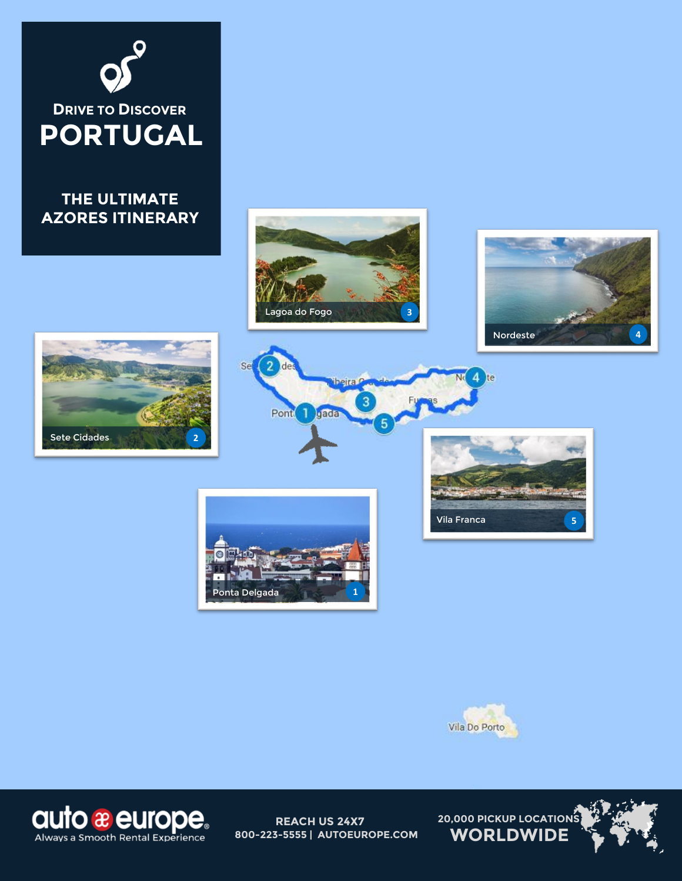

# **THE ULTIMATE AZORES ITINERARY**



beira!









Λ Ite



Se





**REACH US 24X7 800-223-5555 | AUTOEUROPE.COM**